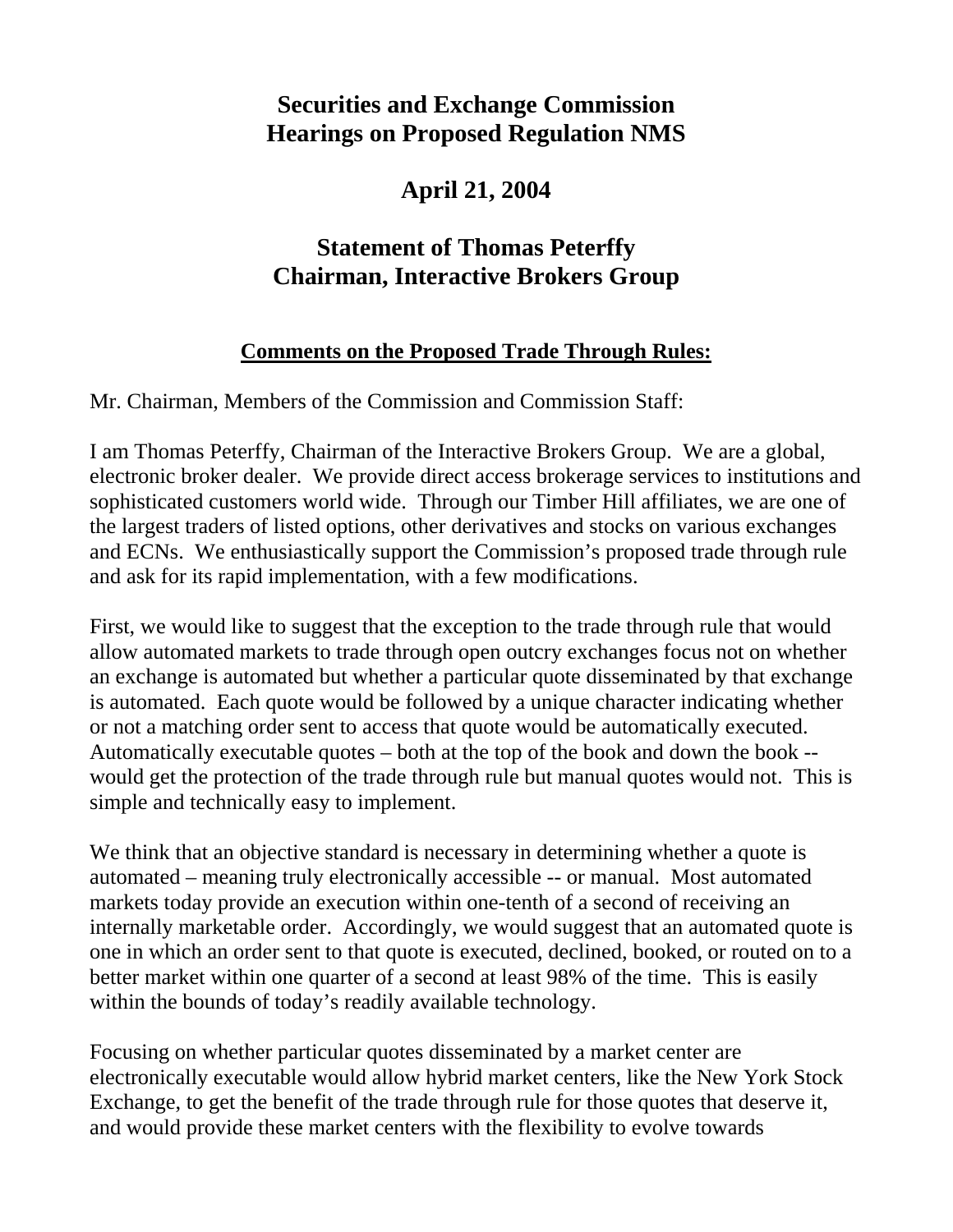## **Securities and Exchange Commission Hearings on Proposed Regulation NMS**

## **April 21, 2004**

# **Statement of Thomas Peterffy Chairman, Interactive Brokers Group**

### **Comments on the Proposed Trade Through Rules:**

Mr. Chairman, Members of the Commission and Commission Staff:

I am Thomas Peterffy, Chairman of the Interactive Brokers Group. We are a global, electronic broker dealer. We provide direct access brokerage services to institutions and sophisticated customers world wide. Through our Timber Hill affiliates, we are one of the largest traders of listed options, other derivatives and stocks on various exchanges and ECNs. We enthusiastically support the Commission's proposed trade through rule and ask for its rapid implementation, with a few modifications.

First, we would like to suggest that the exception to the trade through rule that would allow automated markets to trade through open outcry exchanges focus not on whether an exchange is automated but whether a particular quote disseminated by that exchange is automated. Each quote would be followed by a unique character indicating whether or not a matching order sent to access that quote would be automatically executed. Automatically executable quotes – both at the top of the book and down the book - would get the protection of the trade through rule but manual quotes would not. This is simple and technically easy to implement.

We think that an objective standard is necessary in determining whether a quote is automated – meaning truly electronically accessible -- or manual. Most automated markets today provide an execution within one-tenth of a second of receiving an internally marketable order. Accordingly, we would suggest that an automated quote is one in which an order sent to that quote is executed, declined, booked, or routed on to a better market within one quarter of a second at least 98% of the time. This is easily within the bounds of today's readily available technology.

Focusing on whether particular quotes disseminated by a market center are electronically executable would allow hybrid market centers, like the New York Stock Exchange, to get the benefit of the trade through rule for those quotes that deserve it, and would provide these market centers with the flexibility to evolve towards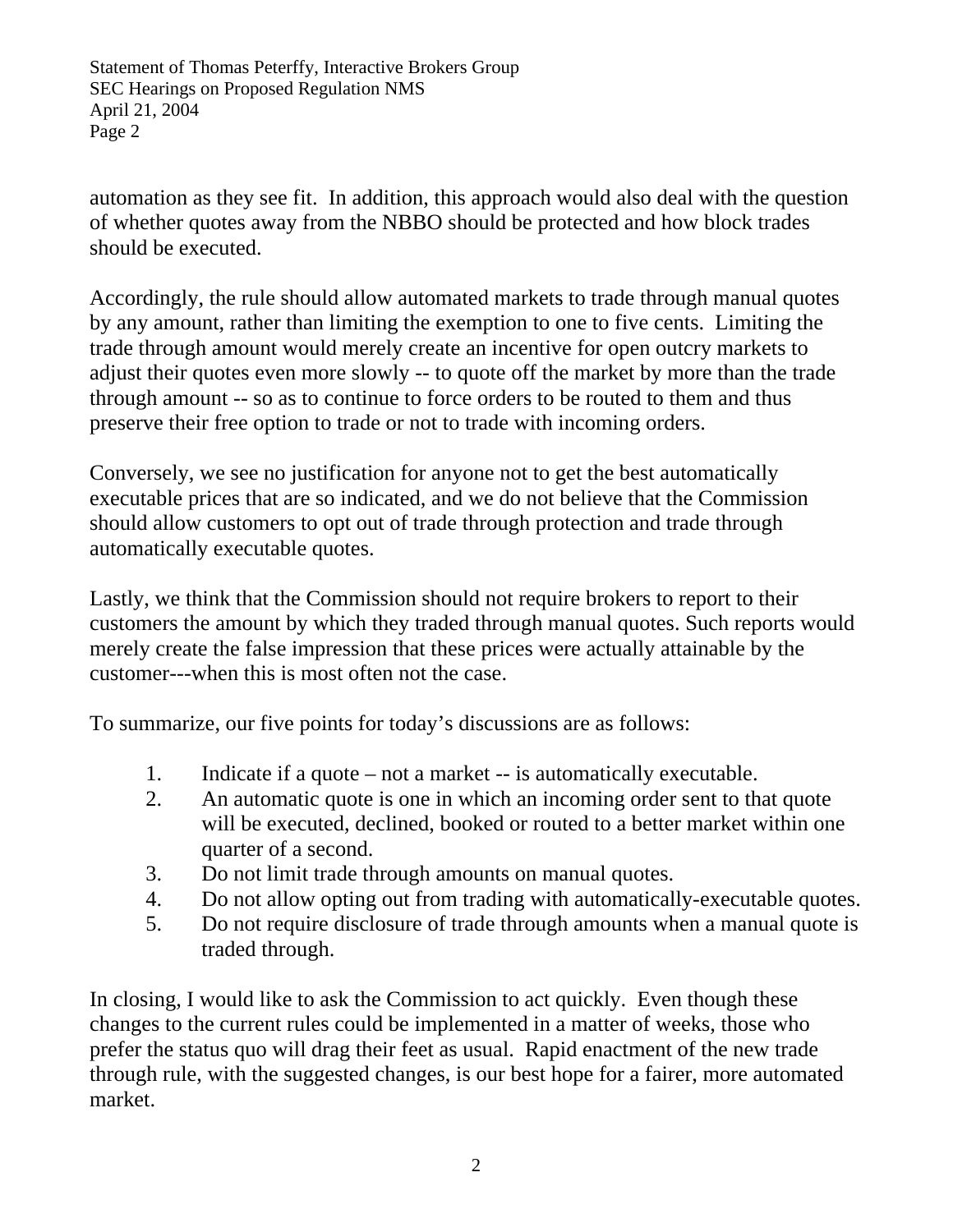Statement of Thomas Peterffy, Interactive Brokers Group SEC Hearings on Proposed Regulation NMS April 21, 2004 Page 2

automation as they see fit. In addition, this approach would also deal with the question of whether quotes away from the NBBO should be protected and how block trades should be executed.

Accordingly, the rule should allow automated markets to trade through manual quotes by any amount, rather than limiting the exemption to one to five cents. Limiting the trade through amount would merely create an incentive for open outcry markets to adjust their quotes even more slowly -- to quote off the market by more than the trade through amount -- so as to continue to force orders to be routed to them and thus preserve their free option to trade or not to trade with incoming orders.

Conversely, we see no justification for anyone not to get the best automatically executable prices that are so indicated, and we do not believe that the Commission should allow customers to opt out of trade through protection and trade through automatically executable quotes.

Lastly, we think that the Commission should not require brokers to report to their customers the amount by which they traded through manual quotes. Such reports would merely create the false impression that these prices were actually attainable by the customer---when this is most often not the case.

To summarize, our five points for today's discussions are as follows:

- 1. Indicate if a quote not a market -- is automatically executable.
- 2. An automatic quote is one in which an incoming order sent to that quote will be executed, declined, booked or routed to a better market within one quarter of a second.
- 3. Do not limit trade through amounts on manual quotes.
- 4. Do not allow opting out from trading with automatically-executable quotes.
- 5. Do not require disclosure of trade through amounts when a manual quote is traded through.

In closing, I would like to ask the Commission to act quickly. Even though these changes to the current rules could be implemented in a matter of weeks, those who prefer the status quo will drag their feet as usual. Rapid enactment of the new trade through rule, with the suggested changes, is our best hope for a fairer, more automated market.